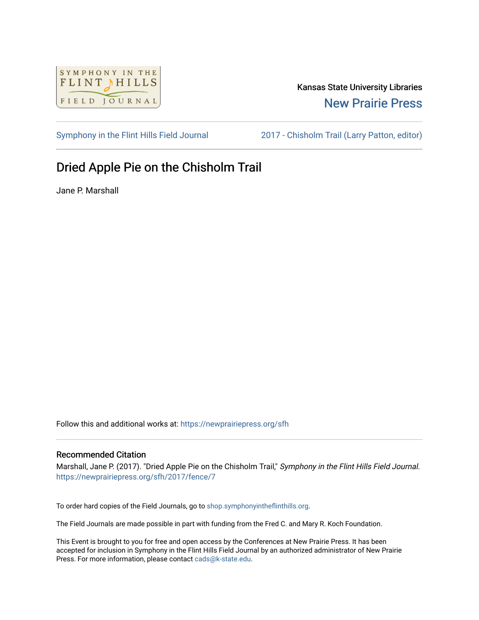

## Kansas State University Libraries [New Prairie Press](https://newprairiepress.org/)

[Symphony in the Flint Hills Field Journal](https://newprairiepress.org/sfh) [2017 - Chisholm Trail \(Larry Patton, editor\)](https://newprairiepress.org/sfh/2017) 

# Dried Apple Pie on the Chisholm Trail

Jane P. Marshall

Follow this and additional works at: [https://newprairiepress.org/sfh](https://newprairiepress.org/sfh?utm_source=newprairiepress.org%2Fsfh%2F2017%2Ffence%2F7&utm_medium=PDF&utm_campaign=PDFCoverPages)

### Recommended Citation

Marshall, Jane P. (2017). "Dried Apple Pie on the Chisholm Trail," Symphony in the Flint Hills Field Journal. <https://newprairiepress.org/sfh/2017/fence/7>

To order hard copies of the Field Journals, go to [shop.symphonyintheflinthills.org.](http://shop.symphonyintheflinthills.org/)

The Field Journals are made possible in part with funding from the Fred C. and Mary R. Koch Foundation.

This Event is brought to you for free and open access by the Conferences at New Prairie Press. It has been accepted for inclusion in Symphony in the Flint Hills Field Journal by an authorized administrator of New Prairie Press. For more information, please contact [cads@k-state.edu.](mailto:cads@k-state.edu)